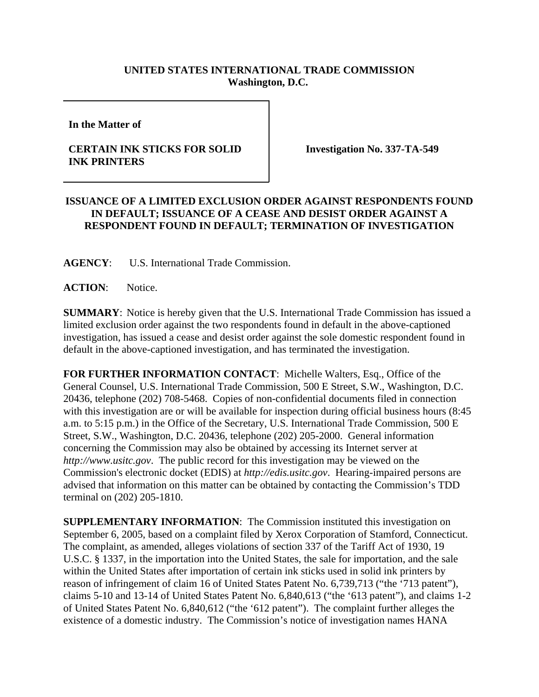## **UNITED STATES INTERNATIONAL TRADE COMMISSION Washington, D.C.**

**In the Matter of** 

## **CERTAIN INK STICKS FOR SOLID INK PRINTERS**

**Investigation No. 337-TA-549**

## **ISSUANCE OF A LIMITED EXCLUSION ORDER AGAINST RESPONDENTS FOUND IN DEFAULT; ISSUANCE OF A CEASE AND DESIST ORDER AGAINST A RESPONDENT FOUND IN DEFAULT; TERMINATION OF INVESTIGATION**

**AGENCY**: U.S. International Trade Commission.

**ACTION**: Notice.

**SUMMARY**: Notice is hereby given that the U.S. International Trade Commission has issued a limited exclusion order against the two respondents found in default in the above-captioned investigation, has issued a cease and desist order against the sole domestic respondent found in default in the above-captioned investigation, and has terminated the investigation.

**FOR FURTHER INFORMATION CONTACT**: Michelle Walters, Esq., Office of the General Counsel, U.S. International Trade Commission, 500 E Street, S.W., Washington, D.C. 20436, telephone (202) 708-5468. Copies of non-confidential documents filed in connection with this investigation are or will be available for inspection during official business hours (8:45 a.m. to 5:15 p.m.) in the Office of the Secretary, U.S. International Trade Commission, 500 E Street, S.W., Washington, D.C. 20436, telephone (202) 205-2000. General information concerning the Commission may also be obtained by accessing its Internet server at *http://www.usitc.gov*. The public record for this investigation may be viewed on the Commission's electronic docket (EDIS) at *http://edis.usitc.gov*. Hearing-impaired persons are advised that information on this matter can be obtained by contacting the Commission's TDD terminal on (202) 205-1810.

**SUPPLEMENTARY INFORMATION:** The Commission instituted this investigation on September 6, 2005, based on a complaint filed by Xerox Corporation of Stamford, Connecticut. The complaint, as amended, alleges violations of section 337 of the Tariff Act of 1930, 19 U.S.C. § 1337, in the importation into the United States, the sale for importation, and the sale within the United States after importation of certain ink sticks used in solid ink printers by reason of infringement of claim 16 of United States Patent No. 6,739,713 ("the '713 patent"), claims 5-10 and 13-14 of United States Patent No. 6,840,613 ("the '613 patent"), and claims 1-2 of United States Patent No. 6,840,612 ("the '612 patent"). The complaint further alleges the existence of a domestic industry. The Commission's notice of investigation names HANA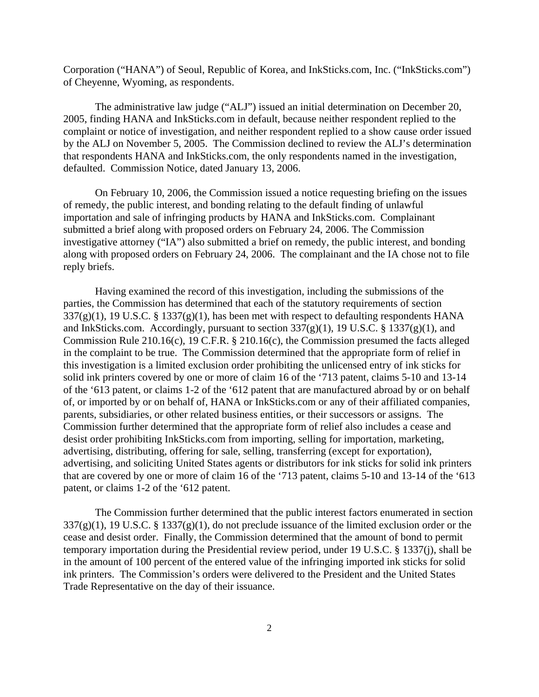Corporation ("HANA") of Seoul, Republic of Korea, and InkSticks.com, Inc. ("InkSticks.com") of Cheyenne, Wyoming, as respondents.

The administrative law judge ("ALJ") issued an initial determination on December 20, 2005, finding HANA and InkSticks.com in default, because neither respondent replied to the complaint or notice of investigation, and neither respondent replied to a show cause order issued by the ALJ on November 5, 2005. The Commission declined to review the ALJ's determination that respondents HANA and InkSticks.com, the only respondents named in the investigation, defaulted. Commission Notice, dated January 13, 2006.

On February 10, 2006, the Commission issued a notice requesting briefing on the issues of remedy, the public interest, and bonding relating to the default finding of unlawful importation and sale of infringing products by HANA and InkSticks.com. Complainant submitted a brief along with proposed orders on February 24, 2006. The Commission investigative attorney ("IA") also submitted a brief on remedy, the public interest, and bonding along with proposed orders on February 24, 2006. The complainant and the IA chose not to file reply briefs.

Having examined the record of this investigation, including the submissions of the parties, the Commission has determined that each of the statutory requirements of section  $337(g)(1)$ , 19 U.S.C. § 1337(g)(1), has been met with respect to defaulting respondents HANA and InkSticks.com. Accordingly, pursuant to section  $337(g)(1)$ , 19 U.S.C. § 1337(g)(1), and Commission Rule 210.16(c), 19 C.F.R. § 210.16(c), the Commission presumed the facts alleged in the complaint to be true. The Commission determined that the appropriate form of relief in this investigation is a limited exclusion order prohibiting the unlicensed entry of ink sticks for solid ink printers covered by one or more of claim 16 of the '713 patent, claims 5-10 and 13-14 of the '613 patent, or claims 1-2 of the '612 patent that are manufactured abroad by or on behalf of, or imported by or on behalf of, HANA or InkSticks.com or any of their affiliated companies, parents, subsidiaries, or other related business entities, or their successors or assigns. The Commission further determined that the appropriate form of relief also includes a cease and desist order prohibiting InkSticks.com from importing, selling for importation, marketing, advertising, distributing, offering for sale, selling, transferring (except for exportation), advertising, and soliciting United States agents or distributors for ink sticks for solid ink printers that are covered by one or more of claim 16 of the '713 patent, claims 5-10 and 13-14 of the '613 patent, or claims 1-2 of the '612 patent.

The Commission further determined that the public interest factors enumerated in section  $337(g)(1)$ , 19 U.S.C. § 1337(g)(1), do not preclude issuance of the limited exclusion order or the cease and desist order. Finally, the Commission determined that the amount of bond to permit temporary importation during the Presidential review period, under 19 U.S.C. § 1337(j), shall be in the amount of 100 percent of the entered value of the infringing imported ink sticks for solid ink printers. The Commission's orders were delivered to the President and the United States Trade Representative on the day of their issuance.